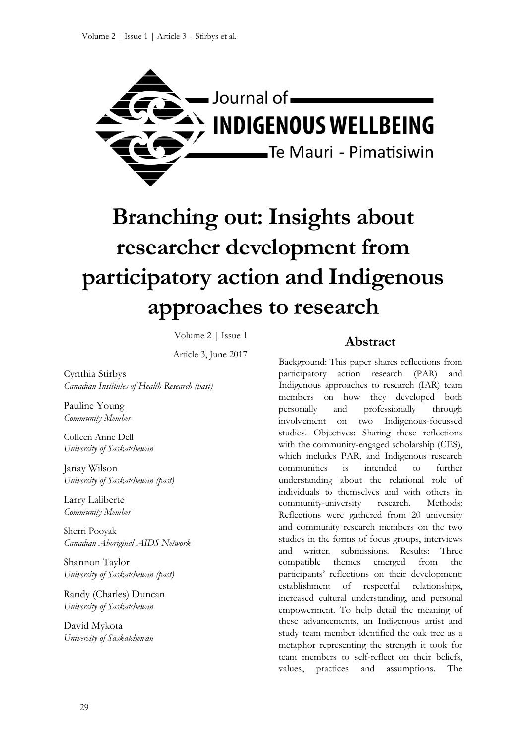

# **Branching out: Insights about researcher development from participatory action and Indigenous approaches to research**

Volume 2 | Issue 1

Article 3, June 2017

Cynthia Stirbys *Canadian Institutes of Health Research (past)*

Pauline Young *Community Member*

Colleen Anne Dell *University of Saskatchewan*

Janay Wilson *University of Saskatchewan (past)*

Larry Laliberte *Community Member*

Sherri Pooyak *Canadian Aboriginal AIDS Network*

Shannon Taylor *University of Saskatchewan (past)*

Randy (Charles) Duncan *University of Saskatchewan*

David Mykota *University of Saskatchewan*

#### **Abstract**

Background: This paper shares reflections from participatory action research (PAR) and Indigenous approaches to research (IAR) team members on how they developed both personally and professionally through involvement on two Indigenous-focussed studies. Objectives: Sharing these reflections with the community-engaged scholarship (CES), which includes PAR, and Indigenous research communities is intended to further understanding about the relational role of individuals to themselves and with others in community-university research. Methods: Reflections were gathered from 20 university and community research members on the two studies in the forms of focus groups, interviews and written submissions. Results: Three compatible themes emerged from the participants' reflections on their development: establishment of respectful relationships, increased cultural understanding, and personal empowerment. To help detail the meaning of these advancements, an Indigenous artist and study team member identified the oak tree as a metaphor representing the strength it took for team members to self-reflect on their beliefs, values, practices and assumptions. The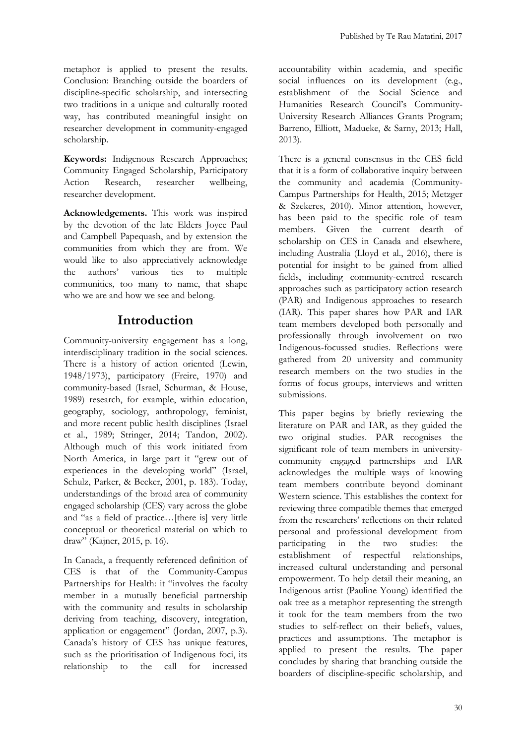metaphor is applied to present the results. Conclusion: Branching outside the boarders of discipline-specific scholarship, and intersecting two traditions in a unique and culturally rooted way, has contributed meaningful insight on researcher development in community-engaged scholarship.

**Keywords:** Indigenous Research Approaches; Community Engaged Scholarship, Participatory Action Research, researcher wellbeing, researcher development.

**Acknowledgements.** This work was inspired by the devotion of the late Elders Joyce Paul and Campbell Papequash, and by extension the communities from which they are from. We would like to also appreciatively acknowledge the authors' various ties to multiple communities, too many to name, that shape who we are and how we see and belong.

## **Introduction**

Community-university engagement has a long, interdisciplinary tradition in the social sciences. There is a history of action oriented (Lewin, 1948/1973), participatory (Freire, 1970) and community-based (Israel, Schurman, & House, 1989) research, for example, within education, geography, sociology, anthropology, feminist, and more recent public health disciplines (Israel et al., 1989; Stringer, 2014; Tandon, 2002). Although much of this work initiated from North America, in large part it "grew out of experiences in the developing world" (Israel, Schulz, Parker, & Becker, 2001, p. 183). Today, understandings of the broad area of community engaged scholarship (CES) vary across the globe and "as a field of practice…[there is] very little conceptual or theoretical material on which to draw" (Kajner, 2015, p. 16).

In Canada, a frequently referenced definition of CES is that of the Community-Campus Partnerships for Health: it "involves the faculty member in a mutually beneficial partnership with the community and results in scholarship deriving from teaching, discovery, integration, application or engagement" (Jordan, 2007, p.3). Canada's history of CES has unique features, such as the prioritisation of Indigenous foci, its relationship to the call for increased accountability within academia, and specific social influences on its development (e.g., establishment of the Social Science and Humanities Research Council's Community-University Research Alliances Grants Program; Barreno, Elliott, Madueke, & Sarny, 2013; Hall, 2013).

There is a general consensus in the CES field that it is a form of collaborative inquiry between the community and academia (Community-Campus Partnerships for Health, 2015; Metzger & Szekeres, 2010). Minor attention, however, has been paid to the specific role of team members. Given the current dearth of scholarship on CES in Canada and elsewhere, including Australia (Lloyd et al., 2016), there is potential for insight to be gained from allied fields, including community-centred research approaches such as participatory action research (PAR) and Indigenous approaches to research (IAR). This paper shares how PAR and IAR team members developed both personally and professionally through involvement on two Indigenous-focussed studies. Reflections were gathered from 20 university and community research members on the two studies in the forms of focus groups, interviews and written submissions.

This paper begins by briefly reviewing the literature on PAR and IAR, as they guided the two original studies. PAR recognises the significant role of team members in universitycommunity engaged partnerships and IAR acknowledges the multiple ways of knowing team members contribute beyond dominant Western science. This establishes the context for reviewing three compatible themes that emerged from the researchers' reflections on their related personal and professional development from participating in the two studies: the establishment of respectful relationships, increased cultural understanding and personal empowerment. To help detail their meaning, an Indigenous artist (Pauline Young) identified the oak tree as a metaphor representing the strength it took for the team members from the two studies to self-reflect on their beliefs, values, practices and assumptions. The metaphor is applied to present the results. The paper concludes by sharing that branching outside the boarders of discipline-specific scholarship, and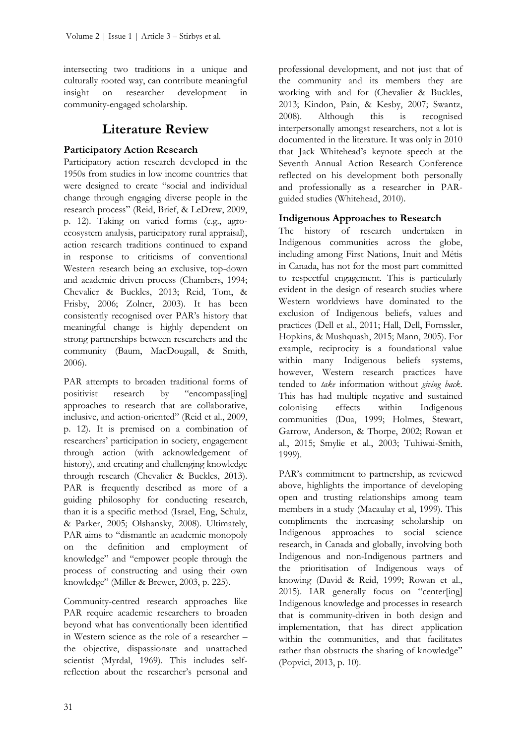intersecting two traditions in a unique and culturally rooted way, can contribute meaningful<br>insight on researcher development in insight on researcher development in community-engaged scholarship.

## **Literature Review**

#### **Participatory Action Research**

Participatory action research developed in the 1950s from studies in low income countries that were designed to create "social and individual change through engaging diverse people in the research process" (Reid, Brief, & LeDrew, 2009, p. 12). Taking on varied forms (e.g., agroecosystem analysis, participatory rural appraisal), action research traditions continued to expand in response to criticisms of conventional Western research being an exclusive, top-down and academic driven process (Chambers, 1994; Chevalier & Buckles, 2013; Reid, Tom, & Frisby, 2006; Zolner, 2003). It has been consistently recognised over PAR's history that meaningful change is highly dependent on strong partnerships between researchers and the community (Baum, MacDougall, & Smith, 2006).

PAR attempts to broaden traditional forms of positivist research by "encompass[ing] approaches to research that are collaborative, inclusive, and action-oriented" (Reid et al., 2009, p. 12). It is premised on a combination of researchers' participation in society, engagement through action (with acknowledgement of history), and creating and challenging knowledge through research (Chevalier & Buckles, 2013). PAR is frequently described as more of a guiding philosophy for conducting research, than it is a specific method (Israel, Eng, Schulz, & Parker, 2005; Olshansky, 2008). Ultimately, PAR aims to "dismantle an academic monopoly on the definition and employment of knowledge" and "empower people through the process of constructing and using their own knowledge" (Miller & Brewer, 2003, p. 225).

Community-centred research approaches like PAR require academic researchers to broaden beyond what has conventionally been identified in Western science as the role of a researcher – the objective, dispassionate and unattached scientist (Myrdal, 1969). This includes selfreflection about the researcher's personal and

professional development, and not just that of the community and its members they are working with and for (Chevalier & Buckles, 2013; Kindon, Pain, & Kesby, 2007; Swantz, 2008). Although this is recognised interpersonally amongst researchers, not a lot is documented in the literature. It was only in 2010 that Jack Whitehead's keynote speech at the Seventh Annual Action Research Conference reflected on his development both personally and professionally as a researcher in PARguided studies (Whitehead, 2010).

#### **Indigenous Approaches to Research**

The history of research undertaken in Indigenous communities across the globe, including among First Nations, Inuit and Métis in Canada, has not for the most part committed to respectful engagement. This is particularly evident in the design of research studies where Western worldviews have dominated to the exclusion of Indigenous beliefs, values and practices (Dell et al., 2011; Hall, Dell, Fornssler, Hopkins, & Mushquash, 2015; Mann, 2005). For example, reciprocity is a foundational value within many Indigenous beliefs systems, however, Western research practices have tended to *take* information without *giving back*. This has had multiple negative and sustained colonising effects within Indigenous communities (Dua, 1999; Holmes, Stewart, Garrow, Anderson, & Thorpe, 2002; Rowan et al., 2015; Smylie et al., 2003; Tuhiwai-Smith, 1999).

PAR's commitment to partnership, as reviewed above, highlights the importance of developing open and trusting relationships among team members in a study (Macaulay et al, 1999). This compliments the increasing scholarship on Indigenous approaches to social science research, in Canada and globally, involving both Indigenous and non-Indigenous partners and the prioritisation of Indigenous ways of knowing (David & Reid, 1999; Rowan et al., 2015). IAR generally focus on "center[ing] Indigenous knowledge and processes in research that is community-driven in both design and implementation, that has direct application within the communities, and that facilitates rather than obstructs the sharing of knowledge" (Popvici, 2013, p. 10).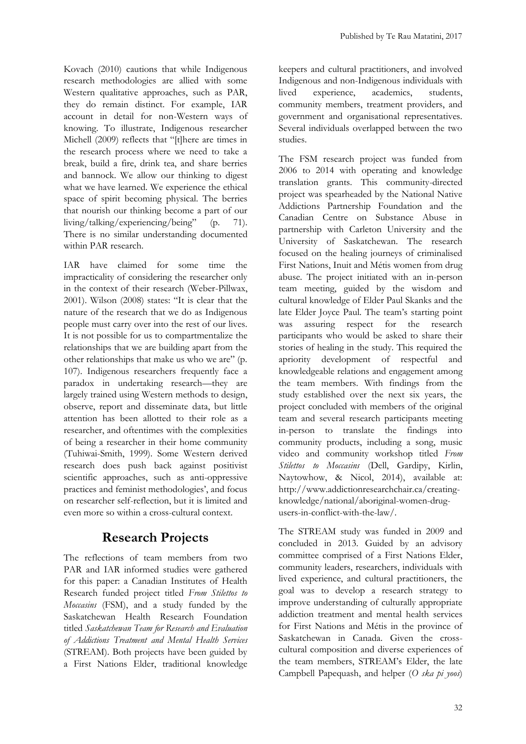Kovach (2010) cautions that while Indigenous research methodologies are allied with some Western qualitative approaches, such as PAR, they do remain distinct. For example, IAR account in detail for non-Western ways of knowing. To illustrate, Indigenous researcher Michell (2009) reflects that "[t]here are times in the research process where we need to take a break, build a fire, drink tea, and share berries and bannock. We allow our thinking to digest what we have learned. We experience the ethical space of spirit becoming physical. The berries that nourish our thinking become a part of our living/talking/experiencing/being" (p. 71). There is no similar understanding documented within PAR research.

IAR have claimed for some time the impracticality of considering the researcher only in the context of their research (Weber-Pillwax, 2001). Wilson (2008) states: "It is clear that the nature of the research that we do as Indigenous people must carry over into the rest of our lives. It is not possible for us to compartmentalize the relationships that we are building apart from the other relationships that make us who we are" (p. 107). Indigenous researchers frequently face a paradox in undertaking research—they are largely trained using Western methods to design, observe, report and disseminate data, but little attention has been allotted to their role as a researcher, and oftentimes with the complexities of being a researcher in their home community (Tuhiwai-Smith, 1999). Some Western derived research does push back against positivist scientific approaches, such as anti-oppressive practices and feminist methodologies', and focus on researcher self-reflection, but it is limited and even more so within a cross-cultural context.

## **Research Projects**

The reflections of team members from two PAR and IAR informed studies were gathered for this paper: a Canadian Institutes of Health Research funded project titled *From Stilettos to Moccasins* (FSM), and a study funded by the Saskatchewan Health Research Foundation titled *Saskatchewan Team for Research and Evaluation of Addictions Treatment and Mental Health Services* (STREAM). Both projects have been guided by a First Nations Elder, traditional knowledge keepers and cultural practitioners, and involved Indigenous and non-Indigenous individuals with lived experience, academics, students, community members, treatment providers, and government and organisational representatives. Several individuals overlapped between the two studies.

The FSM research project was funded from 2006 to 2014 with operating and knowledge translation grants. This community-directed project was spearheaded by the National Native Addictions Partnership Foundation and the Canadian Centre on Substance Abuse in partnership with Carleton University and the University of Saskatchewan. The research focused on the healing journeys of criminalised First Nations, Inuit and Métis women from drug abuse. The project initiated with an in-person team meeting, guided by the wisdom and cultural knowledge of Elder Paul Skanks and the late Elder Joyce Paul. The team's starting point was assuring respect for the research participants who would be asked to share their stories of healing in the study. This required the apriority development of respectful and knowledgeable relations and engagement among the team members. With findings from the study established over the next six years, the project concluded with members of the original team and several research participants meeting in-person to translate the findings into community products, including a song, music video and community workshop titled *From Stilettos to Moccasins* (Dell, Gardipy, Kirlin, Naytowhow, & Nicol, 2014), available at: http://www.addictionresearchchair.ca/creatingknowledge/national/aboriginal-women-drugusers-in-conflict-with-the-law/.

The STREAM study was funded in 2009 and concluded in 2013. Guided by an advisory committee comprised of a First Nations Elder, community leaders, researchers, individuals with lived experience, and cultural practitioners, the goal was to develop a research strategy to improve understanding of culturally appropriate addiction treatment and mental health services for First Nations and Métis in the province of Saskatchewan in Canada. Given the crosscultural composition and diverse experiences of the team members, STREAM's Elder, the late Campbell Papequash, and helper (*O ska pi yoos*)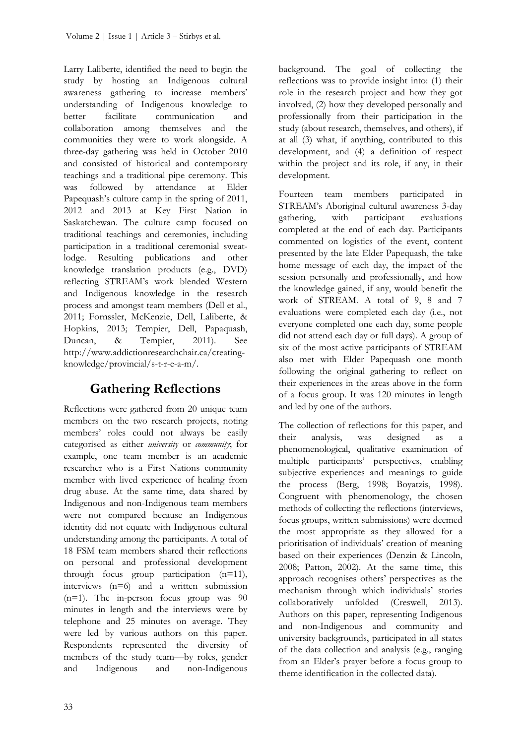Larry Laliberte, identified the need to begin the study by hosting an Indigenous cultural awareness gathering to increase members' understanding of Indigenous knowledge to better facilitate communication and collaboration among themselves and the communities they were to work alongside. A three-day gathering was held in October 2010 and consisted of historical and contemporary teachings and a traditional pipe ceremony. This was followed by attendance at Elder Papequash's culture camp in the spring of 2011, 2012 and 2013 at Key First Nation in Saskatchewan. The culture camp focused on traditional teachings and ceremonies, including participation in a traditional ceremonial sweatlodge. Resulting publications and other knowledge translation products (e.g., DVD) reflecting STREAM's work blended Western and Indigenous knowledge in the research process and amongst team members (Dell et al., 2011; Fornssler, McKenzie, Dell, Laliberte, & Hopkins, 2013; Tempier, Dell, Papaquash, Duncan, & Tempier, 2011). See http://www.addictionresearchchair.ca/creatingknowledge/provincial/s-t-r-e-a-m/.

## **Gathering Reflections**

Reflections were gathered from 20 unique team members on the two research projects, noting members' roles could not always be easily categorised as either *university* or *community*; for example, one team member is an academic researcher who is a First Nations community member with lived experience of healing from drug abuse. At the same time, data shared by Indigenous and non-Indigenous team members were not compared because an Indigenous identity did not equate with Indigenous cultural understanding among the participants. A total of 18 FSM team members shared their reflections on personal and professional development through focus group participation (n=11), interviews (n=6) and a written submission  $(n=1)$ . The in-person focus group was 90 minutes in length and the interviews were by telephone and 25 minutes on average. They were led by various authors on this paper. Respondents represented the diversity of members of the study team—by roles, gender and Indigenous and non-Indigenous

background. The goal of collecting the reflections was to provide insight into: (1) their role in the research project and how they got involved, (2) how they developed personally and professionally from their participation in the study (about research, themselves, and others), if at all (3) what, if anything, contributed to this development, and (4) a definition of respect within the project and its role, if any, in their development.

Fourteen team members participated in STREAM's Aboriginal cultural awareness 3-day gathering, with participant evaluations completed at the end of each day. Participants commented on logistics of the event, content presented by the late Elder Papequash, the take home message of each day, the impact of the session personally and professionally, and how the knowledge gained, if any, would benefit the work of STREAM. A total of 9, 8 and 7 evaluations were completed each day (i.e., not everyone completed one each day, some people did not attend each day or full days). A group of six of the most active participants of STREAM also met with Elder Papequash one month following the original gathering to reflect on their experiences in the areas above in the form of a focus group. It was 120 minutes in length and led by one of the authors.

The collection of reflections for this paper, and their analysis, was designed as a phenomenological, qualitative examination of multiple participants' perspectives, enabling subjective experiences and meanings to guide the process (Berg, 1998; Boyatzis, 1998). Congruent with phenomenology, the chosen methods of collecting the reflections (interviews, focus groups, written submissions) were deemed the most appropriate as they allowed for a prioritisation of individuals' creation of meaning based on their experiences (Denzin & Lincoln, 2008; Patton, 2002). At the same time, this approach recognises others' perspectives as the mechanism through which individuals' stories collaboratively unfolded (Creswell, 2013). Authors on this paper, representing Indigenous and non-Indigenous and community and university backgrounds, participated in all states of the data collection and analysis (e.g., ranging from an Elder's prayer before a focus group to theme identification in the collected data).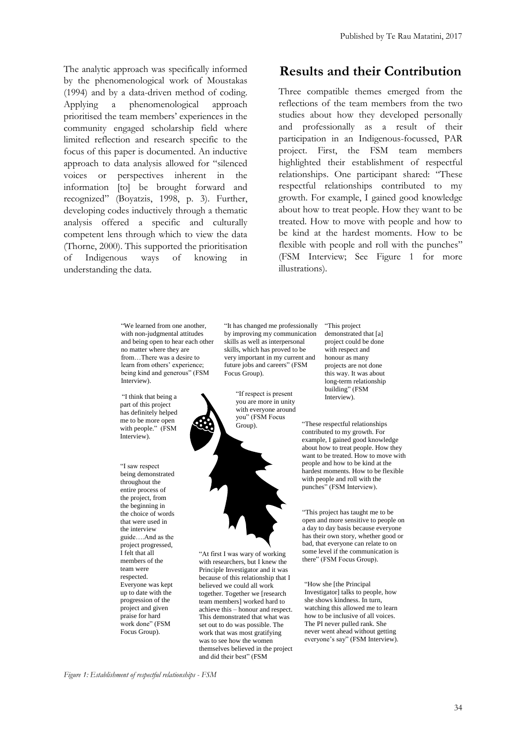The analytic approach was specifically informed by the phenomenological work of Moustakas (1994) and by a data-driven method of coding. Applying a phenomenological approach prioritised the team members' experiences in the community engaged scholarship field where limited reflection and research specific to the focus of this paper is documented. An inductive approach to data analysis allowed for "silenced voices or perspectives inherent in the information [to] be brought forward and recognized" (Boyatzis, 1998, p. 3). Further, developing codes inductively through a thematic analysis offered a specific and culturally competent lens through which to view the data (Thorne, 2000). This supported the prioritisation of Indigenous ways of knowing in understanding the data.

#### **Results and their Contribution**

Three compatible themes emerged from the reflections of the team members from the two studies about how they developed personally and professionally as a result of their participation in an Indigenous-focussed, PAR project. First, the FSM team members highlighted their establishment of respectful relationships. One participant shared: "These respectful relationships contributed to my growth. For example, I gained good knowledge about how to treat people. How they want to be treated. How to move with people and how to be kind at the hardest moments. How to be flexible with people and roll with the punches" (FSM Interview; See Figure 1 for more illustrations).

"We learned from one another, with non-judgmental attitudes and being open to hear each other no matter where they are from…There was a desire to learn from others' experience: being kind and generous" (FSM Interview).

"I think that being a part of this project has definitely helped me to be more open with people." (FSM Interview).

"I saw respect being demonstrated throughout the entire process of the project, from the beginning in the choice of words that were used in the interview guide….And as the project progressed, I felt that all members of the team were respected. Everyone was kept up to date with the progression of the project and given praise for hard work done" (FSM Focus Group).

"It has changed me professionally by improving my communication skills as well as interpersonal skills, which has proved to be very important in my current and future jobs and careers" (FSM Focus Group).

"If respect is present you are more in unity with everyone around you" (FSM Focus Group).



"At first I was wary of working with researchers, but I knew the Principle Investigator and it was because of this relationship that I believed we could all work together. Together we [research team members] worked hard to achieve this – honour and respect. This demonstrated that what was set out to do was possible. The work that was most gratifying was to see how the women themselves believed in the project and did their best" (FSM

"This project demonstrated that [a] project could be done with respect and honour as many projects are not done this way. It was about long-term relationship building" (FSM Interview).

"These respectful relationships contributed to my growth. For example, I gained good knowledge about how to treat people. How they want to be treated. How to move with people and how to be kind at the hardest moments. How to be flexible with people and roll with the punches" (FSM Interview).

"This project has taught me to be open and more sensitive to people on a day to day basis because everyone has their own story, whether good or bad, that everyone can relate to on some level if the communication is there" (FSM Focus Group).

"How she [the Principal Investigator] talks to people, how she shows kindness. In turn, watching this allowed me to learn how to be inclusive of all voices. The PI never pulled rank. She never went ahead without getting everyone's say" (FSM Interview).

*Figure 1: Establishment of respectful relationships - FSM*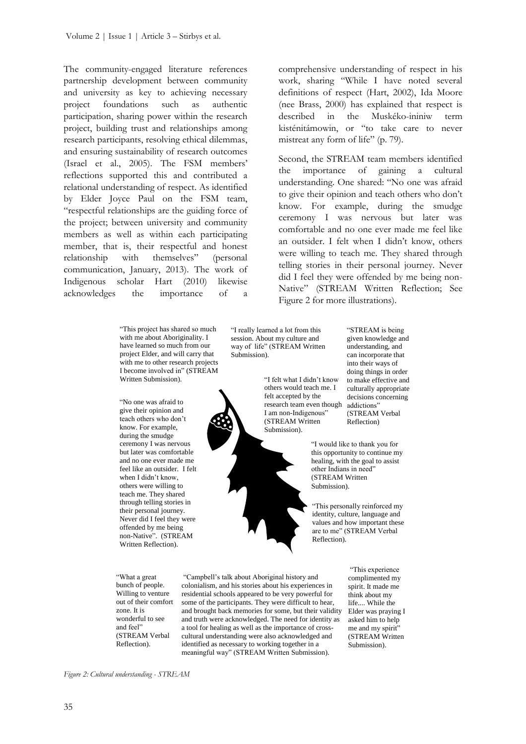The community-engaged literature references partnership development between community and university as key to achieving necessary project foundations such as authentic participation, sharing power within the research project, building trust and relationships among research participants, resolving ethical dilemmas, and ensuring sustainability of research outcomes (Israel et al., 2005). The FSM members' reflections supported this and contributed a relational understanding of respect. As identified by Elder Joyce Paul on the FSM team, "respectful relationships are the guiding force of the project; between university and community members as well as within each participating member, that is, their respectful and honest relationship with themselves" (personal communication, January, 2013). The work of Indigenous scholar Hart (2010) likewise acknowledges the importance of a

> "This project has shared so much with me about Aboriginality. I have learned so much from our project Elder, and will carry that with me to other research projects I become involved in" (STREAM Written Submission).

"No one was afraid to give their opinion and teach others who don't know. For example, during the smudge ceremony I was nervous but later was comfortable and no one ever made me feel like an outsider. I felt when I didn't know, others were willing to teach me. They shared through telling stories in their personal journey. Never did I feel they were offended by me being non-Native". (STREAM Written Reflection).

"What a great bunch of people. Willing to venture out of their comfort zone. It is wonderful to see and feel" (STREAM Verbal Reflection).

"I really learned a lot from this session. About my culture and way of life" (STREAM Written Submission).

> "I felt what I didn't know others would teach me. I felt accepted by the research team even though I am non-Indigenous" (STREAM Written Submission).



"STREAM is being given knowledge and understanding, and can incorporate that into their ways of doing things in order to make effective and culturally appropriate decisions concerning addictions" (STREAM Verbal Reflection)

"I would like to thank you for this opportunity to continue my healing, with the goal to assist other Indians in need" (STREAM Written Submission).

"This personally reinforced my identity, culture, language and values and how important these are to me" (STREAM Verbal Reflection).

"Campbell's talk about Aboriginal history and colonialism, and his stories about his experiences in residential schools appeared to be very powerful for some of the participants. They were difficult to hear, and brought back memories for some, but their validity and truth were acknowledged. The need for identity as a tool for healing as well as the importance of crosscultural understanding were also acknowledged and identified as necessary to working together in a meaningful way" (STREAM Written Submission).

"This experience complimented my spirit. It made me think about my life.... While the Elder was praying I asked him to help me and my spirit" (STREAM Written Submission).

*Figure 2: Cultural understanding - STREAM*

the importance of gaining a cultural understanding. One shared: "No one was afraid to give their opinion and teach others who don't know. For example, during the smudge ceremony I was nervous but later was

mistreat any form of life" (p. 79).

comfortable and no one ever made me feel like an outsider. I felt when I didn't know, others were willing to teach me. They shared through telling stories in their personal journey. Never did I feel they were offended by me being non-Native" (STREAM Written Reflection; See Figure 2 for more illustrations).

comprehensive understanding of respect in his work, sharing "While I have noted several definitions of respect (Hart, 2002), Ida Moore (nee Brass, 2000) has explained that respect is described in the Muskéko-ininiw term kisténitámowin, or "to take care to never

Second, the STREAM team members identified

35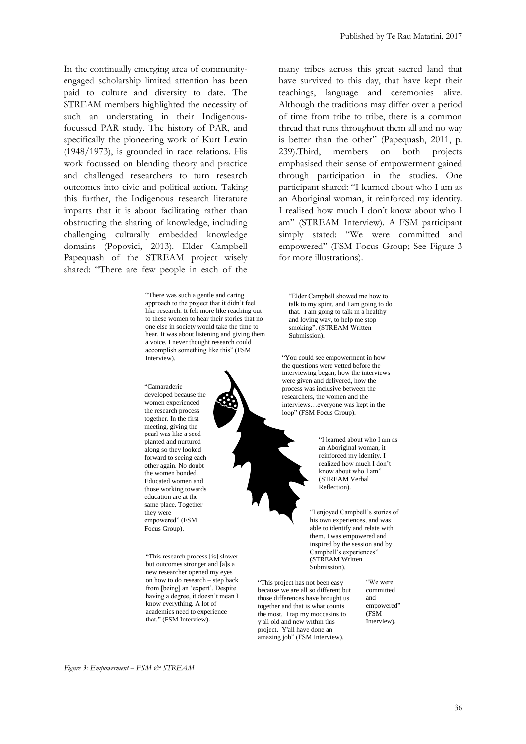In the continually emerging area of communityengaged scholarship limited attention has been paid to culture and diversity to date. The STREAM members highlighted the necessity of such an understating in their Indigenousfocussed PAR study. The history of PAR, and specifically the pioneering work of Kurt Lewin (1948/1973), is grounded in race relations. His work focussed on blending theory and practice and challenged researchers to turn research outcomes into civic and political action. Taking this further, the Indigenous research literature imparts that it is about facilitating rather than obstructing the sharing of knowledge, including challenging culturally embedded knowledge domains (Popovici, 2013). Elder Campbell Papequash of the STREAM project wisely shared: "There are few people in each of the

> "There was such a gentle and caring approach to the project that it didn't feel like research. It felt more like reaching out to these women to hear their stories that no one else in society would take the time to hear. It was about listening and giving them a voice. I never thought research could accomplish something like this" (FSM Interview).

 empowered" (FSM "Camaraderie developed because the women experienced the research process together. In the first meeting, giving the pearl was like a seed planted and nurtured along so they looked forward to seeing each other again. No doubt the women bonded. Educated women and those working towards education are at the same place. Together they were Focus Group).

"This research process [is] slower but outcomes stronger and [a]s a new researcher opened my eyes on how to do research – step back from [being] an 'expert'. Despite having a degree, it doesn't mean I know everything. A lot of academics need to experience that." (FSM Interview).

Published by Te Rau Matatini, 2017

many tribes across this great sacred land that have survived to this day, that have kept their teachings, language and ceremonies alive. Although the traditions may differ over a period of time from tribe to tribe, there is a common thread that runs throughout them all and no way is better than the other" (Papequash, 2011, p. 239).Third, members on both projects emphasised their sense of empowerment gained through participation in the studies. One participant shared: "I learned about who I am as an Aboriginal woman, it reinforced my identity. I realised how much I don't know about who I am" (STREAM Interview). A FSM participant simply stated: "We were committed and empowered" (FSM Focus Group; See Figure 3 for more illustrations).

"Elder Campbell showed me how to talk to my spirit, and I am going to do that. I am going to talk in a healthy and loving way, to help me stop smoking". (STREAM Written Submission).

"You could see empowerment in how the questions were vetted before the interviewing began; how the interviews were given and delivered, how the process was inclusive between the researchers, the women and the interviews…everyone was kept in the loop" (FSM Focus Group).

> "I learned about who I am as an Aboriginal woman, it reinforced my identity. I realized how much I don't know about who I am" (STREAM Verbal Reflection).

"I enjoyed Campbell's stories of his own experiences, and was able to identify and relate with them. I was empowered and inspired by the session and by Campbell's experiences" (STREAM Written Submission).

"This project has not been easy because we are all so different but those differences have brought us together and that is what counts the most. I tap my moccasins to y'all old and new within this project. Y'all have done an amazing job" (FSM Interview).

"We were committed and empowered" (FSM Interview).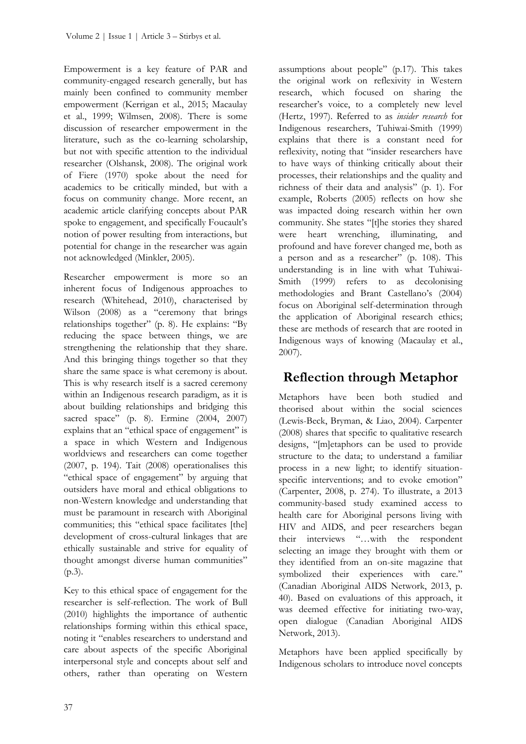Empowerment is a key feature of PAR and community-engaged research generally, but has mainly been confined to community member empowerment (Kerrigan et al., 2015; Macaulay et al., 1999; Wilmsen, 2008). There is some discussion of researcher empowerment in the literature, such as the co-learning scholarship, but not with specific attention to the individual researcher (Olshansk, 2008). The original work of Fiere (1970) spoke about the need for academics to be critically minded, but with a focus on community change. More recent, an academic article clarifying concepts about PAR spoke to engagement, and specifically Foucault's notion of power resulting from interactions, but potential for change in the researcher was again not acknowledged (Minkler, 2005).

Researcher empowerment is more so an inherent focus of Indigenous approaches to research (Whitehead, 2010), characterised by Wilson (2008) as a "ceremony that brings relationships together" (p. 8). He explains: "By reducing the space between things, we are strengthening the relationship that they share. And this bringing things together so that they share the same space is what ceremony is about. This is why research itself is a sacred ceremony within an Indigenous research paradigm, as it is about building relationships and bridging this sacred space" (p. 8). Ermine (2004, 2007) explains that an "ethical space of engagement" is a space in which Western and Indigenous worldviews and researchers can come together (2007, p. 194). Tait (2008) operationalises this "ethical space of engagement" by arguing that outsiders have moral and ethical obligations to non-Western knowledge and understanding that must be paramount in research with Aboriginal communities; this "ethical space facilitates [the] development of cross-cultural linkages that are ethically sustainable and strive for equality of thought amongst diverse human communities" (p.3).

Key to this ethical space of engagement for the researcher is self-reflection. The work of Bull (2010) highlights the importance of authentic relationships forming within this ethical space, noting it "enables researchers to understand and care about aspects of the specific Aboriginal interpersonal style and concepts about self and others, rather than operating on Western

assumptions about people" (p.17). This takes the original work on reflexivity in Western research, which focused on sharing the researcher's voice, to a completely new level (Hertz, 1997). Referred to as *insider research* for Indigenous researchers, Tuhiwai-Smith (1999) explains that there is a constant need for reflexivity, noting that "insider researchers have to have ways of thinking critically about their processes, their relationships and the quality and richness of their data and analysis" (p. 1). For example, Roberts (2005) reflects on how she was impacted doing research within her own community. She states "[t]he stories they shared were heart wrenching, illuminating, and profound and have forever changed me, both as a person and as a researcher" (p. 108). This understanding is in line with what Tuhiwai-Smith (1999) refers to as decolonising methodologies and Brant Castellano's (2004) focus on Aboriginal self-determination through the application of Aboriginal research ethics; these are methods of research that are rooted in Indigenous ways of knowing (Macaulay et al., 2007).

## **Reflection through Metaphor**

Metaphors have been both studied and theorised about within the social sciences (Lewis-Beck, Bryman, & Liao, 2004). Carpenter (2008) shares that specific to qualitative research designs, "[m]etaphors can be used to provide structure to the data; to understand a familiar process in a new light; to identify situationspecific interventions; and to evoke emotion" (Carpenter, 2008, p. 274). To illustrate, a 2013 community-based study examined access to health care for Aboriginal persons living with HIV and AIDS, and peer researchers began their interviews "…with the respondent selecting an image they brought with them or they identified from an on-site magazine that symbolized their experiences with care." (Canadian Aboriginal AIDS Network, 2013, p. 40). Based on evaluations of this approach, it was deemed effective for initiating two-way, open dialogue (Canadian Aboriginal AIDS Network, 2013).

Metaphors have been applied specifically by Indigenous scholars to introduce novel concepts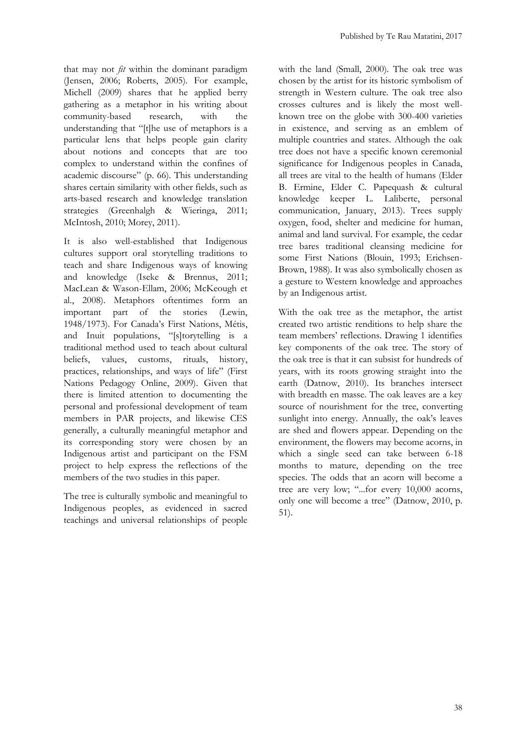that may not *fit* within the dominant paradigm (Jensen, 2006; Roberts, 2005). For example, Michell (2009) shares that he applied berry gathering as a metaphor in his writing about community-based research, with the understanding that "[t]he use of metaphors is a particular lens that helps people gain clarity about notions and concepts that are too complex to understand within the confines of academic discourse" (p. 66). This understanding shares certain similarity with other fields, such as arts-based research and knowledge translation strategies (Greenhalgh & Wieringa, 2011; McIntosh, 2010; Morey, 2011).

It is also well-established that Indigenous cultures support oral storytelling traditions to teach and share Indigenous ways of knowing and knowledge (Iseke & Brennus, 2011; MacLean & Wason-Ellam, 2006; McKeough et al., 2008). Metaphors oftentimes form an important part of the stories (Lewin, 1948/1973). For Canada's First Nations, Métis, and Inuit populations, "[s]torytelling is a traditional method used to teach about cultural beliefs, values, customs, rituals, history, practices, relationships, and ways of life" (First Nations Pedagogy Online, 2009). Given that there is limited attention to documenting the personal and professional development of team members in PAR projects, and likewise CES generally, a culturally meaningful metaphor and its corresponding story were chosen by an Indigenous artist and participant on the FSM project to help express the reflections of the members of the two studies in this paper.

The tree is culturally symbolic and meaningful to Indigenous peoples, as evidenced in sacred teachings and universal relationships of people with the land (Small, 2000). The oak tree was chosen by the artist for its historic symbolism of strength in Western culture. The oak tree also crosses cultures and is likely the most wellknown tree on the globe with 300-400 varieties in existence, and serving as an emblem of multiple countries and states. Although the oak tree does not have a specific known ceremonial significance for Indigenous peoples in Canada, all trees are vital to the health of humans (Elder B. Ermine, Elder C. Papequash & cultural knowledge keeper L. Laliberte, personal communication, January, 2013). Trees supply oxygen, food, shelter and medicine for human, animal and land survival. For example, the cedar tree bares traditional cleansing medicine for some First Nations (Blouin, 1993; Erichsen-Brown, 1988). It was also symbolically chosen as a gesture to Western knowledge and approaches by an Indigenous artist.

With the oak tree as the metaphor, the artist created two artistic renditions to help share the team members' reflections. Drawing 1 identifies key components of the oak tree. The story of the oak tree is that it can subsist for hundreds of years, with its roots growing straight into the earth (Datnow, 2010). Its branches intersect with breadth en masse. The oak leaves are a key source of nourishment for the tree, converting sunlight into energy. Annually, the oak's leaves are shed and flowers appear. Depending on the environment, the flowers may become acorns, in which a single seed can take between 6-18 months to mature, depending on the tree species. The odds that an acorn will become a tree are very low; "...for every 10,000 acorns, only one will become a tree" (Datnow, 2010, p. 51).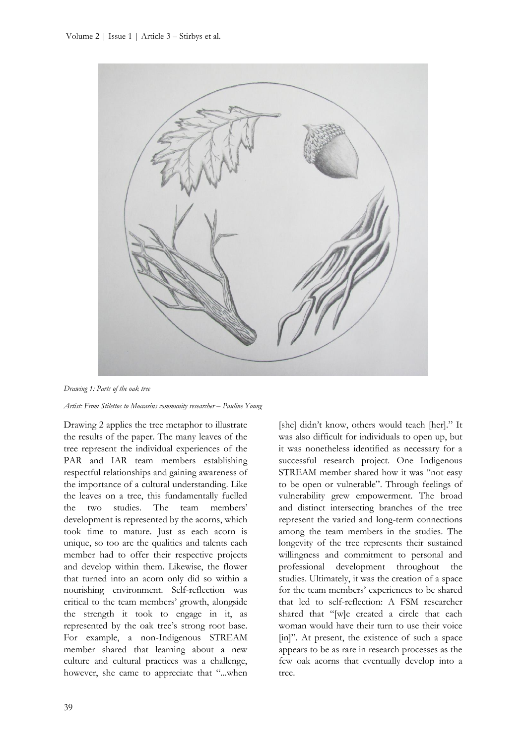

*Drawing 1: Parts of the oak tree*

*Artist: From Stilettos to Moccasins community researcher – Pauline Young*

Drawing 2 applies the tree metaphor to illustrate the results of the paper. The many leaves of the tree represent the individual experiences of the PAR and IAR team members establishing respectful relationships and gaining awareness of the importance of a cultural understanding. Like the leaves on a tree, this fundamentally fuelled the two studies. The team members' development is represented by the acorns, which took time to mature. Just as each acorn is unique, so too are the qualities and talents each member had to offer their respective projects and develop within them. Likewise, the flower that turned into an acorn only did so within a nourishing environment. Self-reflection was critical to the team members' growth, alongside the strength it took to engage in it, as represented by the oak tree's strong root base. For example, a non-Indigenous STREAM member shared that learning about a new culture and cultural practices was a challenge, however, she came to appreciate that "...when

was also difficult for individuals to open up, but it was nonetheless identified as necessary for a successful research project. One Indigenous STREAM member shared how it was "not easy to be open or vulnerable". Through feelings of vulnerability grew empowerment. The broad and distinct intersecting branches of the tree represent the varied and long-term connections among the team members in the studies. The longevity of the tree represents their sustained willingness and commitment to personal and professional development throughout the studies. Ultimately, it was the creation of a space for the team members' experiences to be shared that led to self-reflection: A FSM researcher shared that "[w]e created a circle that each woman would have their turn to use their voice [in]". At present, the existence of such a space appears to be as rare in research processes as the few oak acorns that eventually develop into a tree.

[she] didn't know, others would teach [her]." It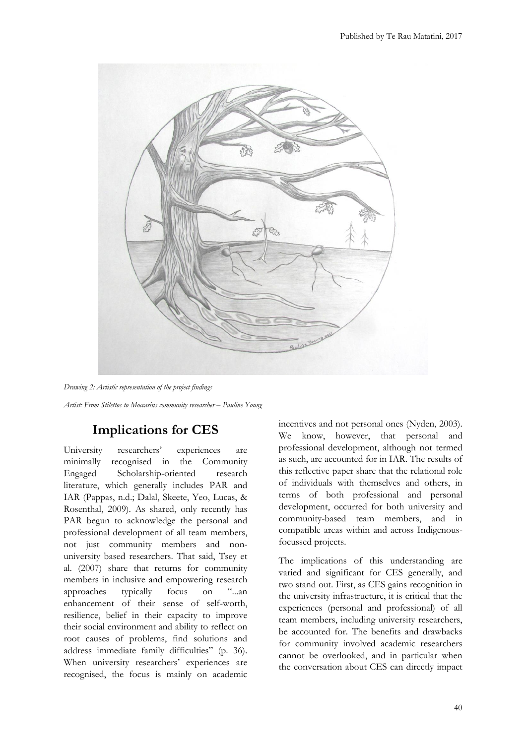



# **Implications for CES**

University researchers' experiences are minimally recognised in the Community Engaged Scholarship-oriented research literature, which generally includes PAR and IAR (Pappas, n.d.; Dalal, Skeete, Yeo, Lucas, & Rosenthal, 2009). As shared, only recently has PAR begun to acknowledge the personal and professional development of all team members, not just community members and nonuniversity based researchers. That said, Tsey et al. (2007) share that returns for community members in inclusive and empowering research approaches typically focus on "...an enhancement of their sense of self-worth, resilience, belief in their capacity to improve their social environment and ability to reflect on root causes of problems, find solutions and address immediate family difficulties" (p. 36). When university researchers' experiences are recognised, the focus is mainly on academic

incentives and not personal ones (Nyden, 2003). We know, however, that personal and professional development, although not termed as such, are accounted for in IAR. The results of this reflective paper share that the relational role of individuals with themselves and others, in terms of both professional and personal development, occurred for both university and community-based team members, and in compatible areas within and across Indigenousfocussed projects.

The implications of this understanding are varied and significant for CES generally, and two stand out. First, as CES gains recognition in the university infrastructure, it is critical that the experiences (personal and professional) of all team members, including university researchers, be accounted for. The benefits and drawbacks for community involved academic researchers cannot be overlooked, and in particular when the conversation about CES can directly impact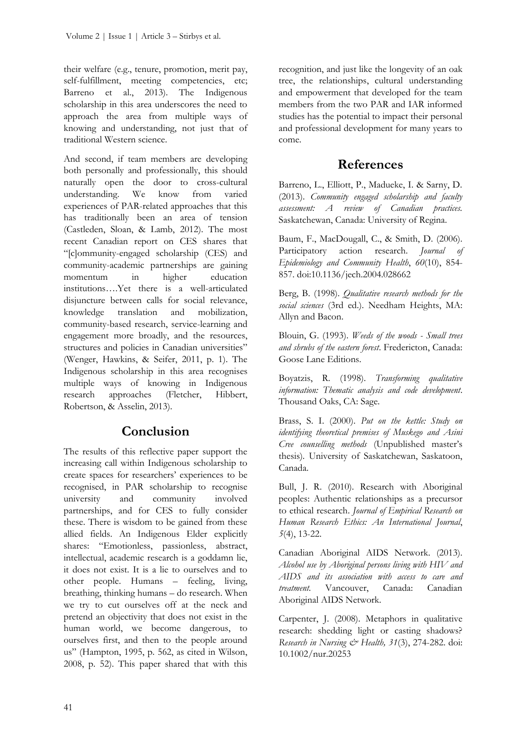their welfare (e.g., tenure, promotion, merit pay, self-fulfillment, meeting competencies, etc; Barreno et al., 2013). The Indigenous scholarship in this area underscores the need to approach the area from multiple ways of knowing and understanding, not just that of traditional Western science.

And second, if team members are developing both personally and professionally, this should naturally open the door to cross-cultural understanding. We know from varied experiences of PAR-related approaches that this has traditionally been an area of tension (Castleden, Sloan, & Lamb, 2012). The most recent Canadian report on CES shares that "[c]ommunity-engaged scholarship (CES) and community-academic partnerships are gaining momentum in higher education institutions….Yet there is a well-articulated disjuncture between calls for social relevance, knowledge translation and mobilization, community-based research, service-learning and engagement more broadly, and the resources, structures and policies in Canadian universities" (Wenger, Hawkins, & Seifer, 2011, p. 1). The Indigenous scholarship in this area recognises multiple ways of knowing in Indigenous research approaches (Fletcher, Hibbert, Robertson, & Asselin, 2013).

### **Conclusion**

The results of this reflective paper support the increasing call within Indigenous scholarship to create spaces for researchers' experiences to be recognised, in PAR scholarship to recognise university and community involved partnerships, and for CES to fully consider these. There is wisdom to be gained from these allied fields. An Indigenous Elder explicitly shares: "Emotionless, passionless, abstract, intellectual, academic research is a goddamn lie, it does not exist. It is a lie to ourselves and to other people. Humans – feeling, living, breathing, thinking humans – do research. When we try to cut ourselves off at the neck and pretend an objectivity that does not exist in the human world, we become dangerous, to ourselves first, and then to the people around us" (Hampton, 1995, p. 562, as cited in Wilson, 2008, p. 52). This paper shared that with this recognition, and just like the longevity of an oak tree, the relationships, cultural understanding and empowerment that developed for the team members from the two PAR and IAR informed studies has the potential to impact their personal and professional development for many years to come.

#### **References**

Barreno, L., Elliott, P., Madueke, I. & Sarny, D. (2013). *Community engaged scholarship and faculty assessment: A review of Canadian practices.*  Saskatchewan, Canada: University of Regina.

Baum, F., MacDougall, C., & Smith, D. (2006). Participatory action research. *Journal of Epidemiology and Community Health*, *60*(10), 854- 857. doi:10.1136/jech.2004.028662

Berg, B. (1998). *Qualitative research methods for the social sciences* (3rd ed.). Needham Heights, MA: Allyn and Bacon.

Blouin, G. (1993). *Weeds of the woods - Small trees and shrubs of the eastern forest*. Fredericton, Canada: Goose Lane Editions.

Boyatzis, R. (1998). *Transforming qualitative information: Thematic analysis and code development*. Thousand Oaks, CA: Sage.

Brass, S. I. (2000). *Put on the kettle: Study on identifying theoretical premises of Muskego and Asini Cree counselling methods* (Unpublished master's thesis)*.* University of Saskatchewan, Saskatoon, Canada.

Bull, J. R. (2010). Research with Aboriginal peoples: Authentic relationships as a precursor to ethical research. *Journal of Empirical Research on Human Research Ethics: An International Journal*, *5*(4), 13-22.

Canadian Aboriginal AIDS Network. (2013). *Alcohol use by Aboriginal persons living with HIV and AIDS and its association with access to care and treatment.* Vancouver, Canada: Canadian Aboriginal AIDS Network.

Carpenter, J. (2008). Metaphors in qualitative research: shedding light or casting shadows? *Research in Nursing & Health, 31*(3), 274-282. doi: 10.1002/nur.20253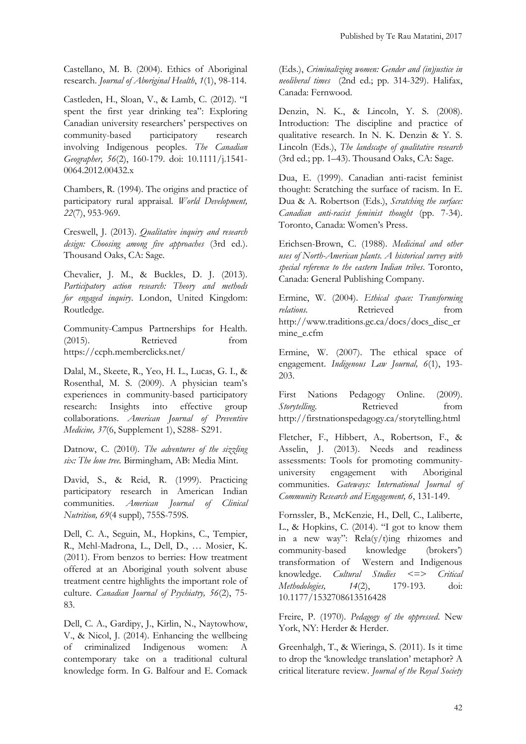Castellano, M. B. (2004). Ethics of Aboriginal research. *Journal of Aboriginal Health*, *1*(1), 98-114.

Castleden, H., Sloan, V., & Lamb, C. (2012). "I spent the first year drinking tea": Exploring Canadian university researchers' perspectives on community-based participatory research involving Indigenous peoples. *The Canadian Geographer, 56*(2), 160-179. doi: 10.1111/j.1541- 0064.2012.00432.x

Chambers, R. (1994). The origins and practice of participatory rural appraisal. *World Development, 22*(7), 953-969.

Creswell, J. (2013). *Qualitative inquiry and research design: Choosing among five approaches* (3rd ed.). Thousand Oaks, CA: Sage.

Chevalier, J. M., & Buckles, D. J. (2013). *Participatory action research: Theory and methods for engaged inquiry*. London, United Kingdom: Routledge.

Community-Campus Partnerships for Health. (2015). Retrieved from <https://ccph.memberclicks.net/>

Dalal, M., Skeete, R., Yeo, H. L., Lucas, G. I., & Rosenthal, M. S. (2009). A physician team's experiences in community-based participatory research: Insights into effective group collaborations. *American Journal of Preventive Medicine, 37*(6, Supplement 1), S288- S291.

Datnow, C. (2010). *The adventures of the sizzling six: The lone tree.* Birmingham, AB: Media Mint.

David, S., & Reid, R. (1999). Practicing participatory research in American Indian communities. *American Journal of Clinical Nutrition, 69*(4 suppl), 755S-759S.

Dell, C. A., Seguin, M., Hopkins, C., Tempier, R., Mehl-Madrona, L., Dell, D., … Mosier, K. (2011). From benzos to berries: How treatment offered at an Aboriginal youth solvent abuse treatment centre highlights the important role of culture. *Canadian Journal of Psychiatry, 56*(2), 75- 83.

Dell, C. A., Gardipy, J., Kirlin, N., Naytowhow, V., & Nicol, J. (2014). Enhancing the wellbeing of criminalized Indigenous women: A contemporary take on a traditional cultural knowledge form. In G. Balfour and E. Comack (Eds.), *Criminalizing women: Gender and (in)justice in neoliberal times* (2nd ed.; pp. 314-329). Halifax, Canada: Fernwood.

Denzin, N. K., & Lincoln, Y. S. (2008). Introduction: The discipline and practice of qualitative research. In N. K. Denzin & Y. S. Lincoln (Eds.), *The landscape of qualitative research* (3rd ed.; pp. 1–43). Thousand Oaks, CA: Sage.

Dua, E. (1999). Canadian anti-racist feminist thought: Scratching the surface of racism. In E. Dua & A. Robertson (Eds.), *Scratching the surface: Canadian anti-racist feminist thought* (pp. 7-34). Toronto, Canada: Women's Press.

Erichsen-Brown, C. (1988). *Medicinal and other uses of North-American plants. A historical survey with special reference to the eastern Indian tribes*. Toronto, Canada: General Publishing Company.

Ermine, W. (2004). *Ethical space: Transforming relations.* Retrieved from [http://www.traditions.gc.ca/docs/docs\\_disc\\_er](http://www.traditions.gc.ca/docs/docs_disc_ermine_e.cfm) [mine\\_e.cfm](http://www.traditions.gc.ca/docs/docs_disc_ermine_e.cfm)

Ermine, W. (2007). The ethical space of engagement. *Indigenous Law Journal, 6*(1), 193- 203.

First Nations Pedagogy Online. (2009). *Storytelling.* Retrieved from <http://firstnationspedagogy.ca/storytelling.html>

Fletcher, F., Hibbert, A., Robertson, F., & Asselin, J. (2013). Needs and readiness assessments: Tools for promoting communityuniversity engagement with Aboriginal communities. *Gateways: International Journal of Community Research and Engagement, 6*, 131-149.

Fornssler, B., McKenzie, H., Dell, C., Laliberte, L., & Hopkins, C. (2014). "I got to know them in a new way": Rela(y/t)ing rhizomes and community-based knowledge (brokers') transformation of Western and Indigenous knowledge. *Cultural Studies <=> Critical Methodologies, 14*(2), 179-193. doi: 10.1177/1532708613516428

Freire, P. (1970). *Pedagogy of the oppressed*. New York, NY: Herder & Herder.

Greenhalgh, T., & Wieringa, S. (2011). Is it time to drop the 'knowledge translation' metaphor? A critical literature review. *Journal of the Royal Society*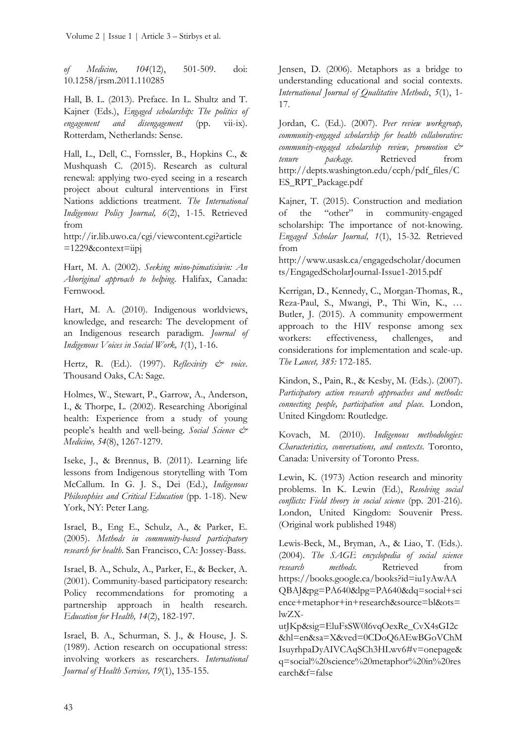*of Medicine, 104*(12), 501-509. doi: 10.1258/jrsm.2011.110285

Hall, B. L. (2013). Preface. In L. Shultz and T. Kajner (Eds.), *Engaged scholarship: The politics of engagement and disengagement* (pp. vii-ix). Rotterdam, Netherlands: Sense.

Hall, L., Dell, C., Fornssler, B., Hopkins C., & Mushquash C. (2015). Research as cultural renewal: applying two-eyed seeing in a research project about cultural interventions in First Nations addictions treatment*. The International Indigenous Policy Journal, 6*(2), 1-15. Retrieved from

[http://ir.lib.uwo.ca/cgi/viewcontent.cgi?article](http://ir.lib.uwo.ca/cgi/viewcontent.cgi?article=1229&context=iipj) [=1229&context=iipj](http://ir.lib.uwo.ca/cgi/viewcontent.cgi?article=1229&context=iipj)

Hart, M. A. (2002). *Seeking mino-pimatisiwin: An Aboriginal approach to helping*. Halifax, Canada: Fernwood.

Hart, M. A. (2010). Indigenous worldviews, knowledge, and research: The development of an Indigenous research paradigm. *Journal of Indigenous Voices in Social Work, 1*(1), 1-16.

Hertz, R. (Ed.). (1997). *Reflexivity & voice*. Thousand Oaks, CA: Sage.

Holmes, W., Stewart, P., Garrow, A., Anderson, I., & Thorpe, L. (2002). Researching Aboriginal health: Experience from a study of young people's health and well-being. *Social Science & Medicine, 54*(8), 1267-1279.

Iseke, J., & Brennus, B. (2011). Learning life lessons from Indigenous storytelling with Tom McCallum. In G. J. S., Dei (Ed.), *Indigenous Philosophies and Critical Education* (pp. 1-18). New York, NY: Peter Lang.

Israel, B., Eng E., Schulz, A., & Parker, E. (2005). *Methods in community-based participatory research for health*. San Francisco, CA: Jossey-Bass.

Israel, B. A., Schulz, A., Parker, E., & Becker, A. (2001). Community-based participatory research: Policy recommendations for promoting a partnership approach in health research. *Education for Health, 14*(2), 182-197.

Israel, B. A., Schurman, S. J., & House, J. S. (1989). Action research on occupational stress: involving workers as researchers. *International Journal of Health Services, 19*(1), 135-155.

Jensen, D. (2006). Metaphors as a bridge to understanding educational and social contexts. *International Journal of Qualitative Methods*, *5*(1), 1- 17.

Jordan, C. (Ed.). (2007). *Peer review workgroup, community-engaged scholarship for health collaborative: community-engaged scholarship review, promotion & tenure package.* Retrieved from [http://depts.washington.edu/ccph/pdf\\_files/C](http://depts.washington.edu/ccph/pdf_files/CES_RPT_Package.pdf) [ES\\_RPT\\_Package.pdf](http://depts.washington.edu/ccph/pdf_files/CES_RPT_Package.pdf)

Kajner, T. (2015). Construction and mediation of the "other" in community-engaged scholarship: The importance of not-knowing. *Engaged Scholar Journal, 1*(1), 15-32. Retrieved from

[http://www.usask.ca/engagedscholar/documen](http://www.usask.ca/engagedscholar/documents/EngagedScholarJournal-Issue1-2015.pdf) [ts/EngagedScholarJournal-Issue1-2015.pdf](http://www.usask.ca/engagedscholar/documents/EngagedScholarJournal-Issue1-2015.pdf)

Kerrigan, D., Kennedy, C., Morgan-Thomas, R., Reza-Paul, S., Mwangi, P., Thi Win, K., … Butler, J. (2015). A community empowerment approach to the HIV response among sex workers: effectiveness, challenges, and considerations for implementation and scale-up. *The Lancet, 385:* 172-185.

Kindon, S., Pain, R., & Kesby, M. (Eds.). (2007). *Participatory action research approaches and methods: connecting people, participation and place.* London, United Kingdom: Routledge.

Kovach, M. (2010). *Indigenous methodologies: Characteristics, conversations, and contexts*. Toronto, Canada: University of Toronto Press.

Lewin, K. (1973) Action research and minority problems. In K. Lewin (Ed.), *Resolving social conflicts: Field theory in social science* (pp. 201-216)*.* London, United Kingdom: Souvenir Press. (Original work published 1948)

Lewis-Beck, M., Bryman, A., & Liao, T. (Eds.). (2004). *The SAGE encyclopedia of social science research methods*. Retrieved from [https://books.google.ca/books?id=iu1yAwAA](https://books.google.ca/books?id=iu1yAwAAQBAJ&pg=PA640&lpg=PA640&dq=social+science+metaphor+in+research&source=bl&ots=lwZX-utJKp&sig=EluFsSW0l6vqOexRe_CvX4sGI2c&hl=en&sa=X&ved=0CDoQ6AEwBGoVChMIsuyrhpaDyAIVCAqSCh3HLwv6#v=onepage&q=social%20science%20metaphor%20in%20research&f=false) [QBAJ&pg=PA640&lpg=PA640&dq=social+sci](https://books.google.ca/books?id=iu1yAwAAQBAJ&pg=PA640&lpg=PA640&dq=social+science+metaphor+in+research&source=bl&ots=lwZX-utJKp&sig=EluFsSW0l6vqOexRe_CvX4sGI2c&hl=en&sa=X&ved=0CDoQ6AEwBGoVChMIsuyrhpaDyAIVCAqSCh3HLwv6#v=onepage&q=social%20science%20metaphor%20in%20research&f=false) [ence+metaphor+in+research&source=bl&ots=](https://books.google.ca/books?id=iu1yAwAAQBAJ&pg=PA640&lpg=PA640&dq=social+science+metaphor+in+research&source=bl&ots=lwZX-utJKp&sig=EluFsSW0l6vqOexRe_CvX4sGI2c&hl=en&sa=X&ved=0CDoQ6AEwBGoVChMIsuyrhpaDyAIVCAqSCh3HLwv6#v=onepage&q=social%20science%20metaphor%20in%20research&f=false) [lwZX-](https://books.google.ca/books?id=iu1yAwAAQBAJ&pg=PA640&lpg=PA640&dq=social+science+metaphor+in+research&source=bl&ots=lwZX-utJKp&sig=EluFsSW0l6vqOexRe_CvX4sGI2c&hl=en&sa=X&ved=0CDoQ6AEwBGoVChMIsuyrhpaDyAIVCAqSCh3HLwv6#v=onepage&q=social%20science%20metaphor%20in%20research&f=false)

[utJKp&sig=EluFsSW0l6vqOexRe\\_CvX4sGI2c](https://books.google.ca/books?id=iu1yAwAAQBAJ&pg=PA640&lpg=PA640&dq=social+science+metaphor+in+research&source=bl&ots=lwZX-utJKp&sig=EluFsSW0l6vqOexRe_CvX4sGI2c&hl=en&sa=X&ved=0CDoQ6AEwBGoVChMIsuyrhpaDyAIVCAqSCh3HLwv6#v=onepage&q=social%20science%20metaphor%20in%20research&f=false) [&hl=en&sa=X&ved=0CDoQ6AEwBGoVChM](https://books.google.ca/books?id=iu1yAwAAQBAJ&pg=PA640&lpg=PA640&dq=social+science+metaphor+in+research&source=bl&ots=lwZX-utJKp&sig=EluFsSW0l6vqOexRe_CvX4sGI2c&hl=en&sa=X&ved=0CDoQ6AEwBGoVChMIsuyrhpaDyAIVCAqSCh3HLwv6#v=onepage&q=social%20science%20metaphor%20in%20research&f=false) [IsuyrhpaDyAIVCAqSCh3HLwv6#v=onepage&](https://books.google.ca/books?id=iu1yAwAAQBAJ&pg=PA640&lpg=PA640&dq=social+science+metaphor+in+research&source=bl&ots=lwZX-utJKp&sig=EluFsSW0l6vqOexRe_CvX4sGI2c&hl=en&sa=X&ved=0CDoQ6AEwBGoVChMIsuyrhpaDyAIVCAqSCh3HLwv6#v=onepage&q=social%20science%20metaphor%20in%20research&f=false) [q=social%20science%20metaphor%20in%20res](https://books.google.ca/books?id=iu1yAwAAQBAJ&pg=PA640&lpg=PA640&dq=social+science+metaphor+in+research&source=bl&ots=lwZX-utJKp&sig=EluFsSW0l6vqOexRe_CvX4sGI2c&hl=en&sa=X&ved=0CDoQ6AEwBGoVChMIsuyrhpaDyAIVCAqSCh3HLwv6#v=onepage&q=social%20science%20metaphor%20in%20research&f=false) [earch&f=false](https://books.google.ca/books?id=iu1yAwAAQBAJ&pg=PA640&lpg=PA640&dq=social+science+metaphor+in+research&source=bl&ots=lwZX-utJKp&sig=EluFsSW0l6vqOexRe_CvX4sGI2c&hl=en&sa=X&ved=0CDoQ6AEwBGoVChMIsuyrhpaDyAIVCAqSCh3HLwv6#v=onepage&q=social%20science%20metaphor%20in%20research&f=false)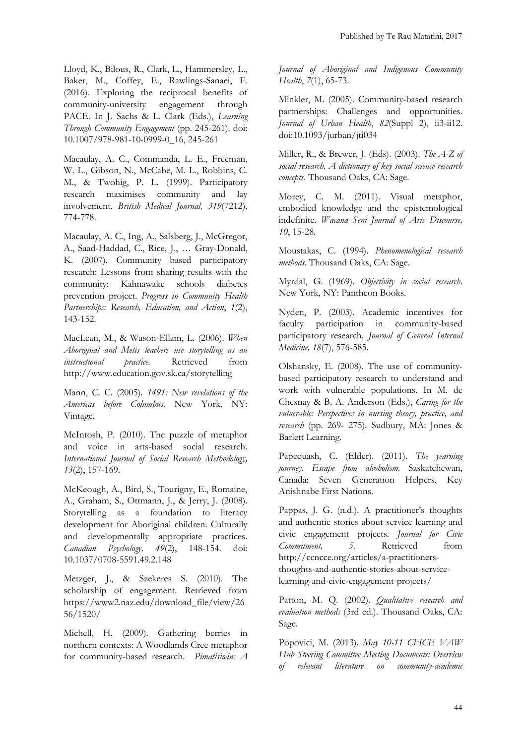Lloyd, K., Bilous, R., Clark, L., Hammersley, L., Baker, M., Coffey, E., Rawlings-Sanaei, F. (2016). Exploring the reciprocal benefits of community-university engagement through PACE. In J. Sachs & L. Clark (Eds.), *Learning Through Community Engagement* (pp. 245-261)*.* doi: 10.1007/978-981-10-0999-0\_16, 245-261

Macaulay, A. C., Commanda, L. E., Freeman, W. L., Gibson, N., McCabe, M. L., Robbins, C. M., & Twohig, P. L. (1999). Participatory research maximises community and lay involvement. *British Medical Journal, 319*(7212), 774-778.

Macaulay, A. C., Ing, A., Salsberg, J., McGregor, A., Saad-Haddad, C., Rice, J., … Gray-Donald, K. (2007). Community based participatory research: Lessons from sharing results with the community: Kahnawake schools diabetes prevention project. *Progress in Community Health Partnerships: Research, Education, and Action*, *1*(2), 143-152.

MacLean, M., & Wason-Ellam, L. (2006). *When Aboriginal and Metis teachers use storytelling as an instructional practice.* Retrieved from <http://www.education.gov.sk.ca/storytelling>

Mann, C. C. (2005). *1491: New revelations of the Americas before Columbus.* New York, NY: Vintage.

McIntosh, P. (2010). The puzzle of metaphor and voice in arts-based social research. *International Journal of Social Research Methodology, 13*(2), 157-169.

McKeough, A., Bird, S., Tourigny, E., Romaine, A., Graham, S., Ottmann, J., & Jerry, J. (2008). Storytelling as a foundation to literacy development for Aboriginal children: Culturally and developmentally appropriate practices. *Canadian Psychology, 49*(2), 148-154. doi: 10.1037/0708-5591.49.2.148

Metzger, J., & Szekeres S. (2010). The scholarship of engagement. Retrieved from [https://www2.naz.edu/download\\_file/view/26](https://www2.naz.edu/download_file/view/2656/1520/) [56/1520/](https://www2.naz.edu/download_file/view/2656/1520/)

Michell, H. (2009). Gathering berries in northern contexts: A Woodlands Cree metaphor for community-based research. *Pimatisiwin: A*  *Journal of Aboriginal and Indigenous Community Health*, *7*(1), 65-73.

Minkler, M. (2005). Community-based research partnerships: Challenges and opportunities. *Journal of Urban Health*, *82*(Suppl 2), ii3-ii12. doi:10.1093/jurban/jti034

Miller, R., & Brewer, J. (Eds). (2003). *The A-Z of social research. A dictionary of key social science research concepts*. Thousand Oaks, CA: Sage.

Morey, C. M. (2011). Visual metaphor, embodied knowledge and the epistemological indefinite. *Wacana Seni Journal of Arts Discourse, 10*, 15-28.

Moustakas, C. (1994). *Phenomenological research methods*. Thousand Oaks, CA: Sage.

Myrdal, G. (1969). *Objectivity in social research*. New York, NY: Pantheon Books.

Nyden, P. (2003). Academic incentives for faculty participation in community-based participatory research. *Journal of General Internal Medicine, 18*(7), 576-585.

Olshansky, E. (2008). The use of communitybased participatory research to understand and work with vulnerable populations. In M. de Chesnay & B. A. Anderson (Eds.), *Caring for the vulnerable: Perspectives in nursing theory, practice, and research* (pp. 269- 275). Sudbury, MA: Jones & Barlett Learning.

Papequash, C. (Elder). (2011). *The yearning journey. Escape from alcoholism.* Saskatchewan, Canada: Seven Generation Helpers, Key Anishnabe First Nations.

Pappas, J. G. (n.d.). A practitioner's thoughts and authentic stories about service learning and civic engagement projects. *Journal for Civic Commitment, 5.* Retrieved from [http://ccncce.org/articles/a-practitioners](http://ccncce.org/articles/a-practitioners-thoughts-and-authentic-stories-about-service-learning-and-civic-engagement-projects/)[thoughts-and-authentic-stories-about-service](http://ccncce.org/articles/a-practitioners-thoughts-and-authentic-stories-about-service-learning-and-civic-engagement-projects/)[learning-and-civic-engagement-projects/](http://ccncce.org/articles/a-practitioners-thoughts-and-authentic-stories-about-service-learning-and-civic-engagement-projects/)

Patton, M. Q. (2002). *Qualitative research and evaluation methods* (3rd ed.). Thousand Oaks, CA: Sage.

Popovici, M. (2013). *May 10-11 CFICE VAW Hub Steering Committee Meeting Documents: Overview of relevant literature on community-academic*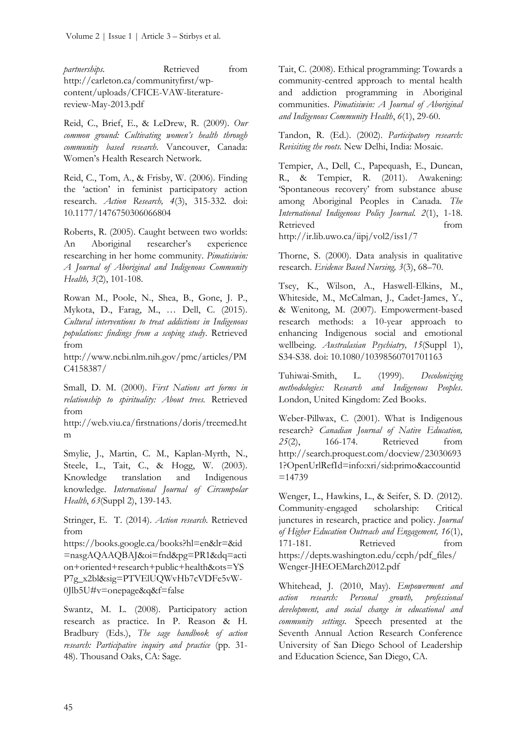*partnerships.* Retrieved from [http://carleton.ca/communityfirst/wp](http://carleton.ca/communityfirst/wp-content/uploads/CFICE-VAW-literature-review-May-2013.pdf)[content/uploads/CFICE-VAW-literature](http://carleton.ca/communityfirst/wp-content/uploads/CFICE-VAW-literature-review-May-2013.pdf)[review-May-2013.pdf](http://carleton.ca/communityfirst/wp-content/uploads/CFICE-VAW-literature-review-May-2013.pdf)

Reid, C., Brief, E., & LeDrew, R. (2009). *Our common ground: Cultivating women's health through community based research*. Vancouver, Canada: Women's Health Research Network.

Reid, C., Tom, A., & Frisby, W. (2006). Finding the 'action' in feminist participatory action research. *Action Research, 4*(3), 315-332. doi: 10.1177/1476750306066804

Roberts, R. (2005). Caught between two worlds: An Aboriginal researcher's experience researching in her home community. *Pimatisiwin: A Journal of Aboriginal and Indigenous Community Health, 3*(2), 101-108.

Rowan M., Poole, N., Shea, B., Gone, J. P., Mykota, D., Farag, M., … Dell, C. (2015). *Cultural interventions to treat addictions in Indigenous populations: findings from a scoping study*. Retrieved from

[http://www.ncbi.nlm.nih.gov/pmc/articles/PM](http://www.ncbi.nlm.nih.gov/pmc/articles/PMC4158387/) [C4158387/](http://www.ncbi.nlm.nih.gov/pmc/articles/PMC4158387/)

Small, D. M. (2000). *First Nations art forms in relationship to spirituality: About trees.* Retrieved from

[http://web.viu.ca/firstnations/doris/treemed.ht](http://web.viu.ca/firstnations/doris/treemed.htm) [m](http://web.viu.ca/firstnations/doris/treemed.htm)

Smylie, J., Martin, C. M., Kaplan-Myrth, N., Steele, L., Tait, C., & Hogg, W. (2003). Knowledge translation and Indigenous knowledge. *International Journal of Circumpolar Health*, *63*(Suppl 2), 139-143.

Stringer, E. T. (2014). *Action research.* Retrieved from

[https://books.google.ca/books?hl=en&lr=&id](https://books.google.ca/books?hl=en&lr=&id=nasgAQAAQBAJ&oi=fnd&pg=PR1&dq=action+oriented+research+public+health&ots=YSP7g_x2bl&sig=PTVElUQWvHb7cVDFe5vW-0Jlb5U#v=onepage&q&f=false) [=nasgAQAAQBAJ&oi=fnd&pg=PR1&dq=acti](https://books.google.ca/books?hl=en&lr=&id=nasgAQAAQBAJ&oi=fnd&pg=PR1&dq=action+oriented+research+public+health&ots=YSP7g_x2bl&sig=PTVElUQWvHb7cVDFe5vW-0Jlb5U#v=onepage&q&f=false) [on+oriented+research+public+health&ots=YS](https://books.google.ca/books?hl=en&lr=&id=nasgAQAAQBAJ&oi=fnd&pg=PR1&dq=action+oriented+research+public+health&ots=YSP7g_x2bl&sig=PTVElUQWvHb7cVDFe5vW-0Jlb5U#v=onepage&q&f=false) [P7g\\_x2bl&sig=PTVElUQWvHb7cVDFe5vW-](https://books.google.ca/books?hl=en&lr=&id=nasgAQAAQBAJ&oi=fnd&pg=PR1&dq=action+oriented+research+public+health&ots=YSP7g_x2bl&sig=PTVElUQWvHb7cVDFe5vW-0Jlb5U#v=onepage&q&f=false)[0Jlb5U#v=onepage&q&f=false](https://books.google.ca/books?hl=en&lr=&id=nasgAQAAQBAJ&oi=fnd&pg=PR1&dq=action+oriented+research+public+health&ots=YSP7g_x2bl&sig=PTVElUQWvHb7cVDFe5vW-0Jlb5U#v=onepage&q&f=false)

Swantz, M. L. (2008). Participatory action research as practice. In P. Reason & H. Bradbury (Eds.), *The sage handbook of action research: Participative inquiry and practice* (pp. 31- 48). Thousand Oaks, CA: Sage.

Tait, C. (2008). Ethical programming: Towards a community-centred approach to mental health and addiction programming in Aboriginal communities. *Pimatisiwin: A Journal of Aboriginal and Indigenous Community Health*, *6*(1), 29-60.

Tandon, R. (Ed.). (2002). *Participatory research: Revisiting the roots.* New Delhi, India: Mosaic.

Tempier, A., Dell, C., Papequash, E., Duncan, R., & Tempier, R. (2011). Awakening: 'Spontaneous recovery' from substance abuse among Aboriginal Peoples in Canada. *The International Indigenous Policy Journal. 2*(1), 1-18. Retrieved from http://ir.lib.uwo.ca/iipj/vol2/iss1/7

Thorne, S. (2000). Data analysis in qualitative research. *Evidence Based Nursing, 3*(3), 68–70.

Tsey, K., Wilson, A., Haswell-Elkins, M., Whiteside, M., McCalman, J., Cadet-James, Y., & Wenitong, M. (2007). Empowerment-based research methods: a 10-year approach to enhancing Indigenous social and emotional wellbeing. *Australasian Psychiatry, 15*(Suppl 1), S34-S38. doi: 10.1080/10398560701701163

Tuhiwai-Smith, L. (1999). *Decolonizing methodologies: Research and Indigenous Peoples*. London, United Kingdom: Zed Books.

Weber-Pillwax, C. (2001). What is Indigenous research? *Canadian Journal of Native Education, 25*(2), 166-174. Retrieved from [http://search.proquest.com/docview/23030693](http://search.proquest.com/docview/230306931?OpenUrlRefId=info:xri/sid:primo&accountid=14739) [1?OpenUrlRefId=info:xri/sid:primo&accountid](http://search.proquest.com/docview/230306931?OpenUrlRefId=info:xri/sid:primo&accountid=14739)  $=14739$ 

Wenger, L., Hawkins, L., & Seifer, S. D. (2012). Community-engaged scholarship: Critical junctures in research, practice and policy. *Journal of Higher Education Outreach and Engagement, 16*(1), 171-181. Retrieved from [https://depts.washington.edu/ccph/pdf\\_files/](https://depts.washington.edu/ccph/pdf_files/Wenger-JHEOEMarch2012.pdf) [Wenger-JHEOEMarch2012.pdf](https://depts.washington.edu/ccph/pdf_files/Wenger-JHEOEMarch2012.pdf)

Whitehead, J. (2010, May). *Empowerment and action research: Personal growth, professional development, and social change in educational and community settings.* Speech presented at the Seventh Annual Action Research Conference University of San Diego School of Leadership and Education Science, San Diego, CA.